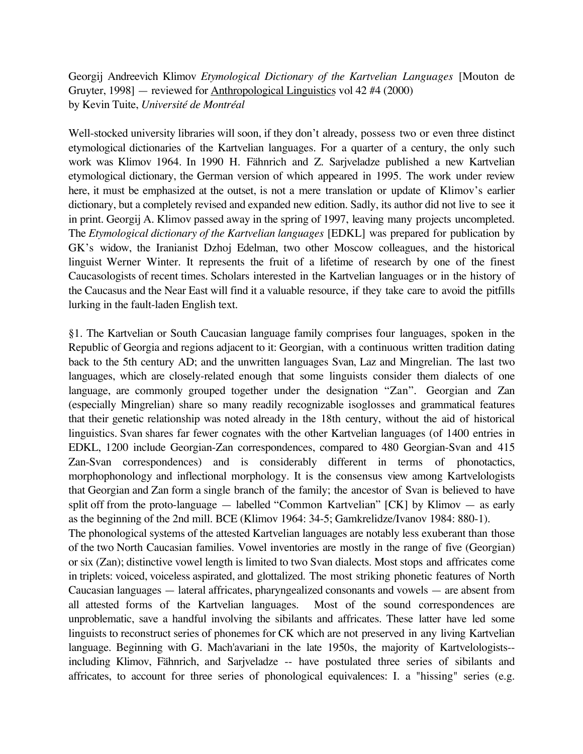Georgij Andreevich Klimov *Etymological Dictionary of the Kartvelian Languages* [Mouton de Gruyter, 1998] — reviewed for Anthropological Linguistics vol 42 #4 (2000) by Kevin Tuite, *Université de Montréal*

Well-stocked university libraries will soon, if they don't already, possess two or even three distinct etymological dictionaries of the Kartvelian languages. For a quarter of a century, the only such work was Klimov 1964. In 1990 H. Fähnrich and Z. Sarjveladze published a new Kartvelian etymological dictionary, the German version of which appeared in 1995. The work under review here, it must be emphasized at the outset, is not a mere translation or update of Klimov's earlier dictionary, but a completely revised and expanded new edition. Sadly, its author did not live to see it in print. Georgij A. Klimov passed away in the spring of 1997, leaving many projects uncompleted. The *Etymological dictionary of the Kartvelian languages* [EDKL] was prepared for publication by GK's widow, the Iranianist Dzhoj Edelman, two other Moscow colleagues, and the historical linguist Werner Winter. It represents the fruit of a lifetime of research by one of the finest Caucasologists of recent times. Scholars interested in the Kartvelian languages or in the history of the Caucasus and the Near East will find it a valuable resource, if they take care to avoid the pitfills lurking in the fault-laden English text.

§1. The Kartvelian or South Caucasian language family comprises four languages, spoken in the Republic of Georgia and regions adjacent to it: Georgian, with a continuous written tradition dating back to the 5th century AD; and the unwritten languages Svan, Laz and Mingrelian. The last two languages, which are closely-related enough that some linguists consider them dialects of one language, are commonly grouped together under the designation "Zan". Georgian and Zan (especially Mingrelian) share so many readily recognizable isoglosses and grammatical features that their genetic relationship was noted already in the 18th century, without the aid of historical linguistics. Svan shares far fewer cognates with the other Kartvelian languages (of 1400 entries in EDKL, 1200 include Georgian-Zan correspondences, compared to 480 Georgian-Svan and 415 Zan-Svan correspondences) and is considerably different in terms of phonotactics, morphophonology and inflectional morphology. It is the consensus view among Kartvelologists that Georgian and Zan form a single branch of the family; the ancestor of Svan is believed to have split off from the proto-language — labelled "Common Kartvelian" [CK] by Klimov — as early as the beginning of the 2nd mill. BCE (Klimov 1964: 34-5; Gamkrelidze/Ivanov 1984: 880-1). The phonological systems of the attested Kartvelian languages are notably less exuberant than those of the two North Caucasian families. Vowel inventories are mostly in the range of five (Georgian) or six (Zan); distinctive vowel length is limited to two Svan dialects. Most stops and affricates come in triplets: voiced, voiceless aspirated, and glottalized. The most striking phonetic features of North Caucasian languages — lateral affricates, pharyngealized consonants and vowels — are absent from all attested forms of the Kartvelian languages. Most of the sound correspondences are unproblematic, save a handful involving the sibilants and affricates. These latter have led some linguists to reconstruct series of phonemes for CK which are not preserved in any living Kartvelian language. Beginning with G. Mach'avariani in the late 1950s, the majority of Kartvelologists- including Klimov, Fähnrich, and Sarjveladze -- have postulated three series of sibilants and affricates, to account for three series of phonological equivalences: I. a "hissing" series (e.g.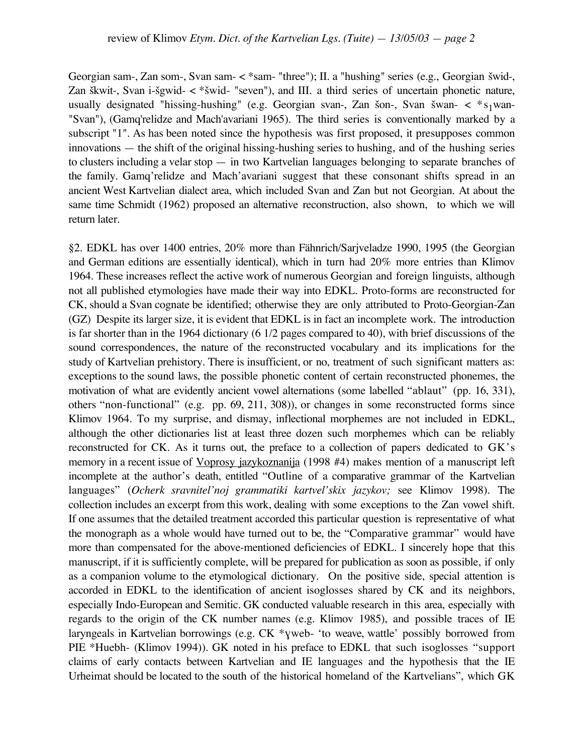Georgian sam-, Zan som-, Svan sam- < \* sam- "three"); II. a "hushing" series (e.g., Georgian šwid-, Zan škwit-, Svan i-šgwid-  $\lt^*$ šwid- "seven"), and III. a third series of uncertain phonetic nature, usually designated "hissing-hushing" (e.g. Georgian svan-, Zan šon-, Svan šwan- <  $*_{s_1}$ wan-"Svan"), (Gamq'relidze and Mach'avariani 1965). The third series is conventionally marked by a subscript "1". As has been noted since the hypothesis was first proposed, it presupposes common innovations — the shift of the original hissing-hushing series to hushing, and of the hushing series to clusters including a velar stop — in two Kartvelian languages belonging to separate branches of the family. Gamq'relidze and Mach'avariani suggest that these consonant shifts spread in an ancient West Kartvelian dialect area, which included Svan and Zan but not Georgian. At about the same time Schmidt (1962) proposed an alternative reconstruction, also shown, to which we will return later.

§2. EDKL has over 1400 entries, 20% more than Fähnrich/Sarjveladze 1990, 1995 (the Georgian and German editions are essentially identical), which in turn had 20% more entries than Klimov 1964. These increases reflect the active work of numerous Georgian and foreign linguists, although not all published etymologies have made their way into EDKL. Proto-forms are reconstructed for CK, should a Svan cognate be identified; otherwise they are only attributed to Proto-Georgian-Zan (GZ) Despite its larger size, it is evident that EDKL is in fact an incomplete work. The introduction is far shorter than in the 1964 dictionary (6 1/2 pages compared to 40), with brief discussions of the sound correspondences, the nature of the reconstructed vocabulary and its implications for the study of Kartvelian prehistory. There is insufficient, or no, treatment of such significant matters as: exceptions to the sound laws, the possible phonetic content of certain reconstructed phonemes, the motivation of what are evidently ancient vowel alternations (some labelled "ablaut" (pp. 16, 331), others "non-functional" (e.g. pp. 69, 211, 308)), or changes in some reconstructed forms since Klimov 1964. To my surprise, and dismay, inflectional morphemes are not included in EDKL, although the other dictionaries list at least three dozen such morphemes which can be reliably reconstructed for CK. As it turns out, the preface to a collection of papers dedicated to GK's memory in a recent issue of Voprosy jazykoznanija (1998 #4) makes mention of a manuscript left incomplete at the author's death, entitled "Outline of a comparative grammar of the Kartvelian languages" (*Ocherk sravnitel'noj grammatiki kartvel'skix jazykov;* see Klimov 1998). The collection includes an excerpt from this work, dealing with some exceptions to the Zan vowel shift. If one assumes that the detailed treatment accorded this particular question is representative of what the monograph as a whole would have turned out to be, the "Comparative grammar" would have more than compensated for the above-mentioned deficiencies of EDKL. I sincerely hope that this manuscript, if it is sufficiently complete, will be prepared for publication as soon as possible, if only as a companion volume to the etymological dictionary. On the positive side, special attention is accorded in EDKL to the identification of ancient isoglosses shared by CK and its neighbors, especially Indo-European and Semitic. GK conducted valuable research in this area, especially with regards to the origin of the CK number names (e.g. Klimov 1985), and possible traces of IE laryngeals in Kartvelian borrowings (e.g. CK \*yweb- 'to weave, wattle' possibly borrowed from PIE \*Huebh- (Klimov 1994)). GK noted in his preface to EDKL that such isoglosses "support claims of early contacts between Kartvelian and IE languages and the hypothesis that the IE Urheimat should be located to the south of the historical homeland of the Kartvelians", which GK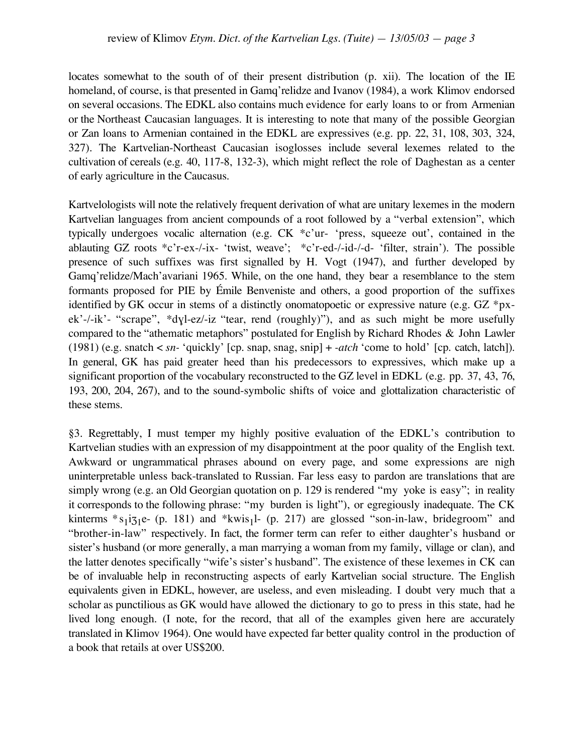locates somewhat to the south of of their present distribution (p. xii). The location of the IE homeland, of course, is that presented in Gamq'relidze and Ivanov (1984), a work Klimov endorsed on several occasions. The EDKL also contains much evidence for early loans to or from Armenian or the Northeast Caucasian languages. It is interesting to note that many of the possible Georgian or Zan loans to Armenian contained in the EDKL are expressives (e.g. pp. 22, 31, 108, 303, 324, 327). The Kartvelian-Northeast Caucasian isoglosses include several lexemes related to the cultivation of cereals (e.g. 40, 117-8, 132-3), which might reflect the role of Daghestan as a center of early agriculture in the Caucasus.

Kartvelologists will note the relatively frequent derivation of what are unitary lexemes in the modern Kartvelian languages from ancient compounds of a root followed by a "verbal extension", which typically undergoes vocalic alternation (e.g. CK \*c'ur- 'press, squeeze out', contained in the ablauting GZ roots \*c'r-ex-/-ix- 'twist, weave'; \*c'r-ed-/-id-/-d- 'filter, strain'). The possible presence of such suffixes was first signalled by H. Vogt (1947), and further developed by Gamq'relidze/Mach'avariani 1965. While, on the one hand, they bear a resemblance to the stem formants proposed for PIE by Émile Benveniste and others, a good proportion of the suffixes identified by GK occur in stems of a distinctly onomatopoetic or expressive nature (e.g. GZ \*px $ek'-i'k'$ - "scrape", \*dyl-ez/-iz "tear, rend (roughly)"), and as such might be more usefully compared to the "athematic metaphors" postulated for English by Richard Rhodes & John Lawler (1981) (e.g. snatch < *sn-* 'quickly' [cp. snap, snag, snip] + *-atch* 'come to hold' [cp. catch, latch]). In general, GK has paid greater heed than his predecessors to expressives, which make up a significant proportion of the vocabulary reconstructed to the GZ level in EDKL (e.g. pp. 37, 43, 76, 193, 200, 204, 267), and to the sound-symbolic shifts of voice and glottalization characteristic of these stems.

§3. Regrettably, I must temper my highly positive evaluation of the EDKL's contribution to Kartvelian studies with an expression of my disappointment at the poor quality of the English text. Awkward or ungrammatical phrases abound on every page, and some expressions are nigh uninterpretable unless back-translated to Russian. Far less easy to pardon are translations that are simply wrong (e.g. an Old Georgian quotation on p. 129 is rendered "my yoke is easy"; in reality it corresponds to the following phrase: "my burden is light"), or egregiously inadequate. The CK kinterms  $*_{51}i_{71}e_{-}$  (p. 181) and  $*$ kwis<sub>1</sub>l- (p. 217) are glossed "son-in-law, bridegroom" and "brother-in-law" respectively. In fact, the former term can refer to either daughter's husband or sister's husband (or more generally, a man marrying a woman from my family, village or clan), and the latter denotes specifically "wife's sister's husband". The existence of these lexemes in CK can be of invaluable help in reconstructing aspects of early Kartvelian social structure. The English equivalents given in EDKL, however, are useless, and even misleading. I doubt very much that a scholar as punctilious as GK would have allowed the dictionary to go to press in this state, had he lived long enough. (I note, for the record, that all of the examples given here are accurately translated in Klimov 1964). One would have expected far better quality control in the production of a book that retails at over US\$200.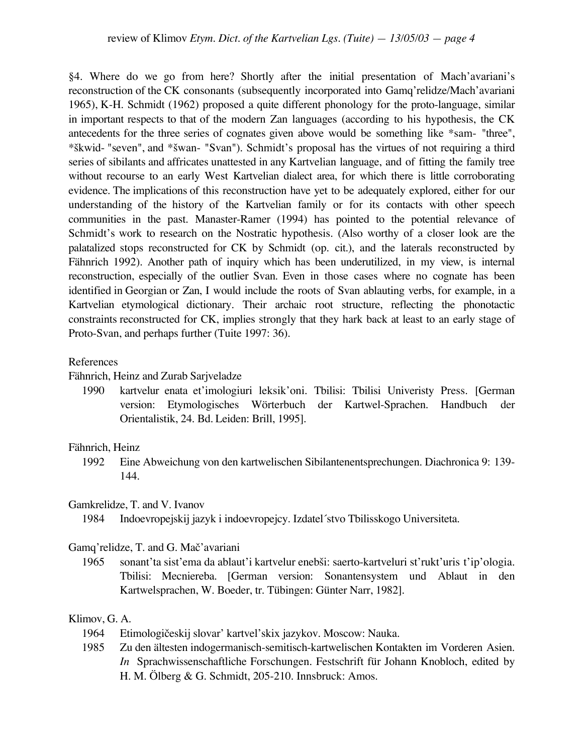§4. Where do we go from here? Shortly after the initial presentation of Mach'avariani's reconstruction of the CK consonants (subsequently incorporated into Gamq'relidze/Mach'avariani 1965), K-H. Schmidt (1962) proposed a quite different phonology for the proto-language, similar in important respects to that of the modern Zan languages (according to his hypothesis, the CK antecedents for the three series of cognates given above would be something like \*sam- "three", \*£kwid- "seven", and \*£wan- "Svan"). Schmidt's proposal has the virtues of not requiring a third series of sibilants and affricates unattested in any Kartvelian language, and of fitting the family tree without recourse to an early West Kartvelian dialect area, for which there is little corroborating evidence. The implications of this reconstruction have yet to be adequately explored, either for our understanding of the history of the Kartvelian family or for its contacts with other speech communities in the past. Manaster-Ramer (1994) has pointed to the potential relevance of Schmidt's work to research on the Nostratic hypothesis. (Also worthy of a closer look are the palatalized stops reconstructed for CK by Schmidt (op. cit.), and the laterals reconstructed by Fähnrich 1992). Another path of inquiry which has been underutilized, in my view, is internal reconstruction, especially of the outlier Svan. Even in those cases where no cognate has been identified in Georgian or Zan, I would include the roots of Svan ablauting verbs, for example, in a Kartvelian etymological dictionary. Their archaic root structure, reflecting the phonotactic constraints reconstructed for CK, implies strongly that they hark back at least to an early stage of Proto-Svan, and perhaps further (Tuite 1997: 36).

### References

Fähnrich, Heinz and Zurab Sarjveladze

1990 kartvelur enata et'imologiuri leksik'oni. Tbilisi: Tbilisi Univeristy Press. [German version: Etymologisches Wörterbuch der Kartwel-Sprachen. Handbuch der Orientalistik, 24. Bd. Leiden: Brill, 1995].

### Fähnrich, Heinz

1992 Eine Abweichung von den kartwelischen Sibilantenentsprechungen. Diachronica 9: 139- 144.

# Gamkrelidze, T. and V. Ivanov

1984 Indoevropejskij jazyk i indoevropejcy. Izdatel´stvo Tbilisskogo Universiteta.

#### Gamq'relidze, T. and G. Mač'avariani

1965 sonant'ta sist'ema da ablaut'i kartvelur eneb£i: saerto-kartveluri st'rukt'uris t'ip'ologia. Tbilisi: Mecniereba. [German version: Sonantensystem und Ablaut in den Kartwelsprachen, W. Boeder, tr. Tübingen: Günter Narr, 1982].

# Klimov, G. A.

- 1964 Etimologičeskij slovar' kartvel'skix jazykov. Moscow: Nauka.
- 1985 Zu den ältesten indogermanisch-semitisch-kartwelischen Kontakten im Vorderen Asien. *In* Sprachwissenschaftliche Forschungen. Festschrift für Johann Knobloch, edited by H. M. Ölberg & G. Schmidt, 205-210. Innsbruck: Amos.